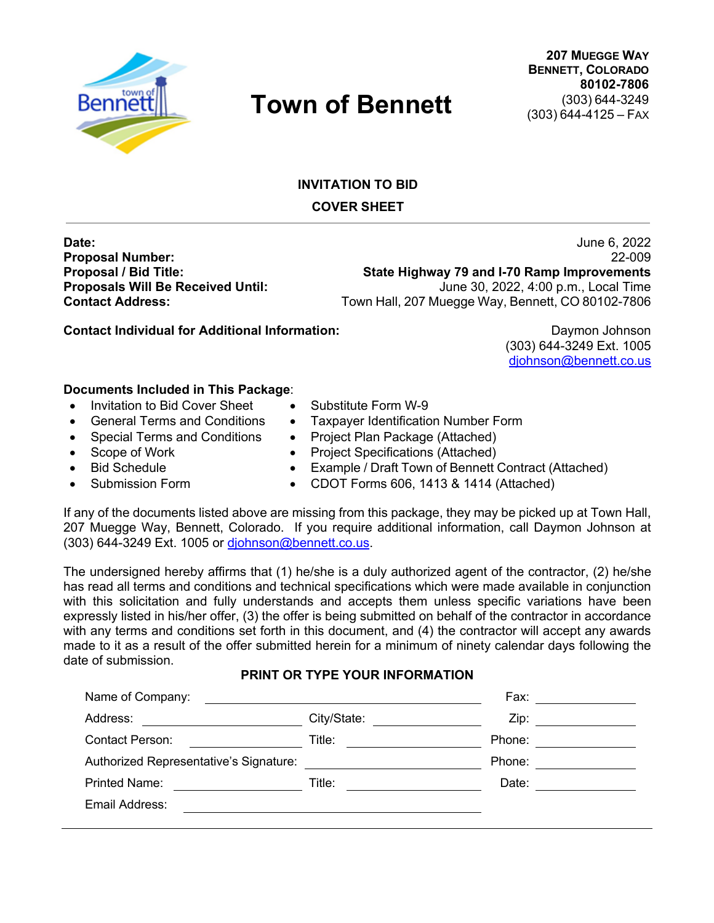

# **INVITATION TO BID COVER SHEET**

**Date:** June 6, 2022 **Proposal Number:** 22-009 **Proposal / Bid Title: State Highway 79 and I-70 Ramp Improvements Proposals Will Be Received Until:** June 30, 2022, 4:00 p.m., Local Time **Contact Address:** Town Hall, 207 Muegge Way, Bennett, CO 80102-7806

**Contact Individual for Additional Information:** Daymon Johnson

(303) 644-3249 Ext. 1005 djohnson@bennett.co.us

## **Documents Included in This Package**:

- Invitation to Bid Cover Sheet Substitute Form W-9
	- General Terms and Conditions Taxpayer Identification Number Form
- Special Terms and Conditions Project Plan Package (Attached)
- Scope of Work Project Specifications (Attached)
	- Bid Schedule Example / Draft Town of Bennett Contract (Attached)
		- Submission Form CDOT Forms 606, 1413 & 1414 (Attached)

If any of the documents listed above are missing from this package, they may be picked up at Town Hall, 207 Muegge Way, Bennett, Colorado. If you require additional information, call Daymon Johnson at (303) 644-3249 Ext. 1005 or djohnson@bennett.co.us.

The undersigned hereby affirms that (1) he/she is a duly authorized agent of the contractor, (2) he/she has read all terms and conditions and technical specifications which were made available in conjunction with this solicitation and fully understands and accepts them unless specific variations have been expressly listed in his/her offer, (3) the offer is being submitted on behalf of the contractor in accordance with any terms and conditions set forth in this document, and (4) the contractor will accept any awards made to it as a result of the offer submitted herein for a minimum of ninety calendar days following the date of submission.

#### **PRINT OR TYPE YOUR INFORMATION**

| Name of Company:                                                                                                                 | <u> 1980 - Jan Samuel Barbara, margaret e populari e populari e populari e populari e populari e populari e popu</u>                                                                                                           | Fax: ____________   |
|----------------------------------------------------------------------------------------------------------------------------------|--------------------------------------------------------------------------------------------------------------------------------------------------------------------------------------------------------------------------------|---------------------|
| Address:<br><u> 1989 - Jan Stein Stein Stein Stein Stein Stein Stein Stein Stein Stein Stein Stein Stein Stein Stein Stein S</u> | City/State: The City of the City of the City of the City of the City of the City of the City of the City of the City of the City of the City of the City of the City of the City of the City of the City of the City of the Ci | Zip: ______________ |
| <b>Contact Person:</b><br><u> 1990 - Jan Jawa</u>                                                                                | Title:<br><u> 1990 - Jan Barat, prima prima prima prima prima prima prima prima prima prima prima prima prima prima prima p</u>                                                                                                | Phone: <u>_____</u> |
| Authorized Representative's Signature:                                                                                           | <u> 1989 - Jan Barbara Barat, prima prima prima prima prima prima prima prima prima prima prima prima prima prim</u>                                                                                                           | Phone:              |
| <b>Printed Name:</b>                                                                                                             | Title:                                                                                                                                                                                                                         | Date:               |
| Email Address:                                                                                                                   |                                                                                                                                                                                                                                |                     |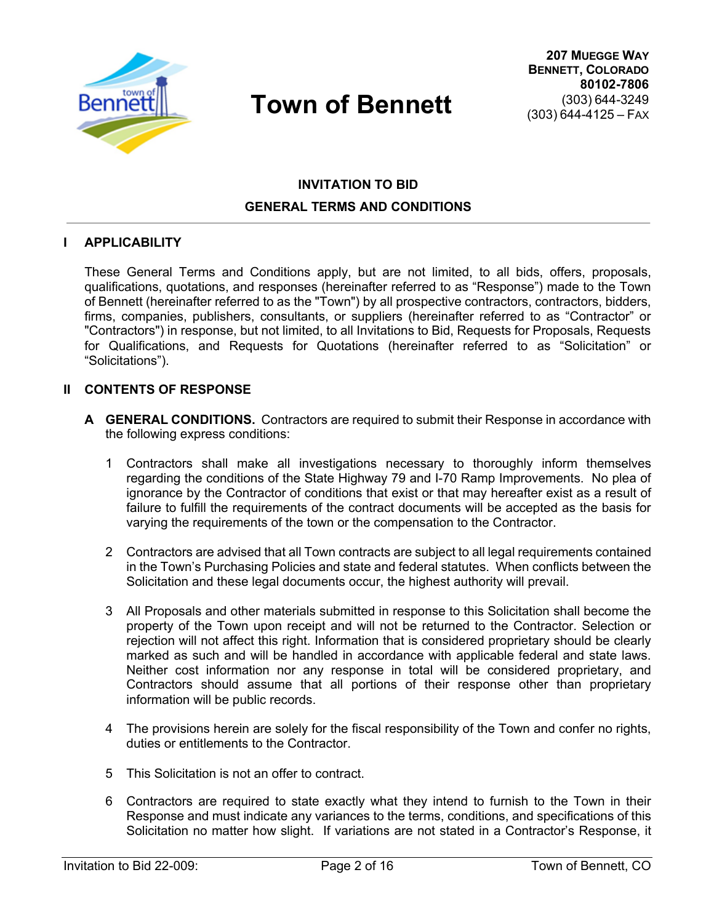

# **INVITATION TO BID GENERAL TERMS AND CONDITIONS**

#### **I APPLICABILITY**

These General Terms and Conditions apply, but are not limited, to all bids, offers, proposals, qualifications, quotations, and responses (hereinafter referred to as "Response") made to the Town of Bennett (hereinafter referred to as the "Town") by all prospective contractors, contractors, bidders, firms, companies, publishers, consultants, or suppliers (hereinafter referred to as "Contractor" or "Contractors") in response, but not limited, to all Invitations to Bid, Requests for Proposals, Requests for Qualifications, and Requests for Quotations (hereinafter referred to as "Solicitation" or "Solicitations").

#### **II CONTENTS OF RESPONSE**

- **A GENERAL CONDITIONS.** Contractors are required to submit their Response in accordance with the following express conditions:
	- 1 Contractors shall make all investigations necessary to thoroughly inform themselves regarding the conditions of the State Highway 79 and I-70 Ramp Improvements. No plea of ignorance by the Contractor of conditions that exist or that may hereafter exist as a result of failure to fulfill the requirements of the contract documents will be accepted as the basis for varying the requirements of the town or the compensation to the Contractor.
	- 2 Contractors are advised that all Town contracts are subject to all legal requirements contained in the Town's Purchasing Policies and state and federal statutes. When conflicts between the Solicitation and these legal documents occur, the highest authority will prevail.
	- 3 All Proposals and other materials submitted in response to this Solicitation shall become the property of the Town upon receipt and will not be returned to the Contractor. Selection or rejection will not affect this right. Information that is considered proprietary should be clearly marked as such and will be handled in accordance with applicable federal and state laws. Neither cost information nor any response in total will be considered proprietary, and Contractors should assume that all portions of their response other than proprietary information will be public records.
	- 4 The provisions herein are solely for the fiscal responsibility of the Town and confer no rights, duties or entitlements to the Contractor.
	- 5 This Solicitation is not an offer to contract.
	- 6 Contractors are required to state exactly what they intend to furnish to the Town in their Response and must indicate any variances to the terms, conditions, and specifications of this Solicitation no matter how slight. If variations are not stated in a Contractor's Response, it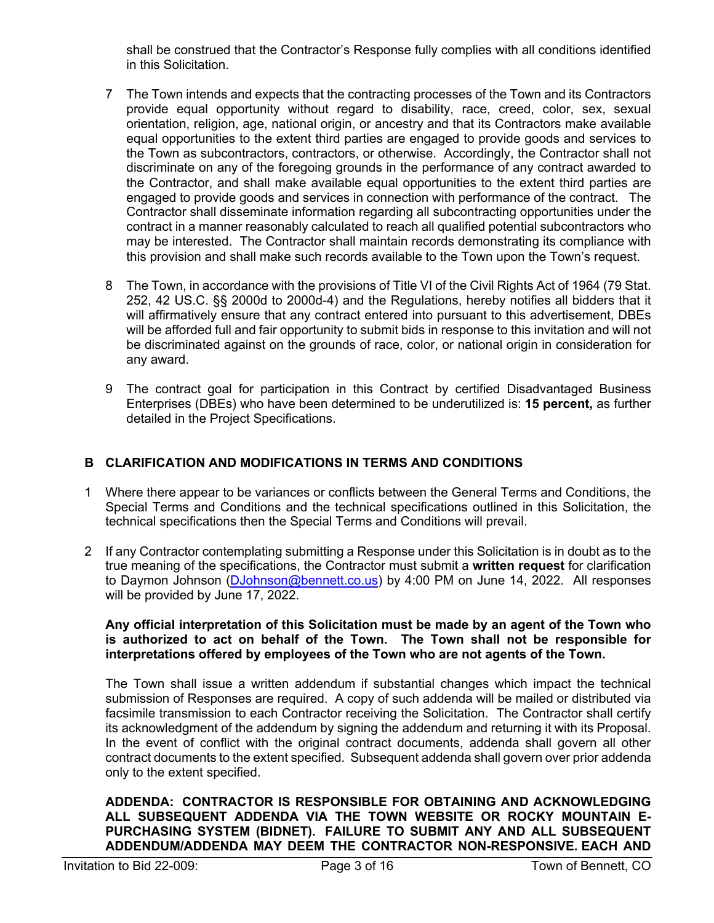shall be construed that the Contractor's Response fully complies with all conditions identified in this Solicitation.

- 7 The Town intends and expects that the contracting processes of the Town and its Contractors provide equal opportunity without regard to disability, race, creed, color, sex, sexual orientation, religion, age, national origin, or ancestry and that its Contractors make available equal opportunities to the extent third parties are engaged to provide goods and services to the Town as subcontractors, contractors, or otherwise. Accordingly, the Contractor shall not discriminate on any of the foregoing grounds in the performance of any contract awarded to the Contractor, and shall make available equal opportunities to the extent third parties are engaged to provide goods and services in connection with performance of the contract. The Contractor shall disseminate information regarding all subcontracting opportunities under the contract in a manner reasonably calculated to reach all qualified potential subcontractors who may be interested. The Contractor shall maintain records demonstrating its compliance with this provision and shall make such records available to the Town upon the Town's request.
- 8 The Town, in accordance with the provisions of Title VI of the Civil Rights Act of 1964 (79 Stat. 252, 42 US.C. §§ 2000d to 2000d-4) and the Regulations, hereby notifies all bidders that it will affirmatively ensure that any contract entered into pursuant to this advertisement, DBEs will be afforded full and fair opportunity to submit bids in response to this invitation and will not be discriminated against on the grounds of race, color, or national origin in consideration for any award.
- 9 The contract goal for participation in this Contract by certified Disadvantaged Business Enterprises (DBEs) who have been determined to be underutilized is: **15 percent,** as further detailed in the Project Specifications.

# **B CLARIFICATION AND MODIFICATIONS IN TERMS AND CONDITIONS**

- 1 Where there appear to be variances or conflicts between the General Terms and Conditions, the Special Terms and Conditions and the technical specifications outlined in this Solicitation, the technical specifications then the Special Terms and Conditions will prevail.
- 2 If any Contractor contemplating submitting a Response under this Solicitation is in doubt as to the true meaning of the specifications, the Contractor must submit a **written request** for clarification to Daymon Johnson (DJohnson@bennett.co.us) by 4:00 PM on June 14, 2022. All responses will be provided by June 17, 2022.

#### **Any official interpretation of this Solicitation must be made by an agent of the Town who is authorized to act on behalf of the Town. The Town shall not be responsible for interpretations offered by employees of the Town who are not agents of the Town.**

The Town shall issue a written addendum if substantial changes which impact the technical submission of Responses are required. A copy of such addenda will be mailed or distributed via facsimile transmission to each Contractor receiving the Solicitation. The Contractor shall certify its acknowledgment of the addendum by signing the addendum and returning it with its Proposal. In the event of conflict with the original contract documents, addenda shall govern all other contract documents to the extent specified. Subsequent addenda shall govern over prior addenda only to the extent specified.

#### **ADDENDA: CONTRACTOR IS RESPONSIBLE FOR OBTAINING AND ACKNOWLEDGING ALL SUBSEQUENT ADDENDA VIA THE TOWN WEBSITE OR ROCKY MOUNTAIN E-PURCHASING SYSTEM (BIDNET). FAILURE TO SUBMIT ANY AND ALL SUBSEQUENT ADDENDUM/ADDENDA MAY DEEM THE CONTRACTOR NON-RESPONSIVE. EACH AND**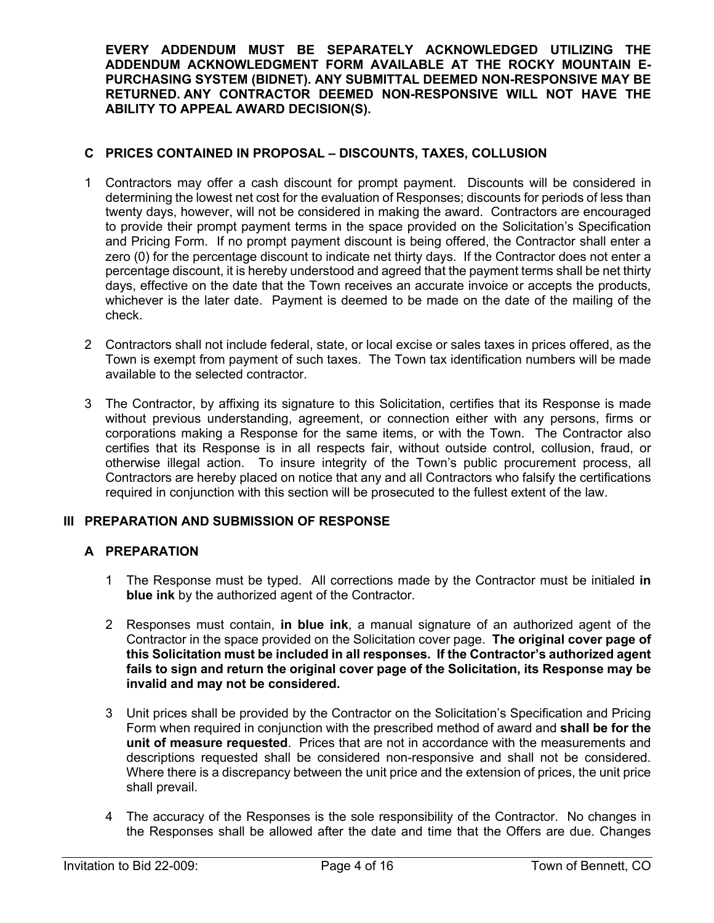**EVERY ADDENDUM MUST BE SEPARATELY ACKNOWLEDGED UTILIZING THE ADDENDUM ACKNOWLEDGMENT FORM AVAILABLE AT THE ROCKY MOUNTAIN E-PURCHASING SYSTEM (BIDNET). ANY SUBMITTAL DEEMED NON-RESPONSIVE MAY BE RETURNED. ANY CONTRACTOR DEEMED NON-RESPONSIVE WILL NOT HAVE THE ABILITY TO APPEAL AWARD DECISION(S).** 

## **C PRICES CONTAINED IN PROPOSAL – DISCOUNTS, TAXES, COLLUSION**

- 1 Contractors may offer a cash discount for prompt payment. Discounts will be considered in determining the lowest net cost for the evaluation of Responses; discounts for periods of less than twenty days, however, will not be considered in making the award. Contractors are encouraged to provide their prompt payment terms in the space provided on the Solicitation's Specification and Pricing Form. If no prompt payment discount is being offered, the Contractor shall enter a zero (0) for the percentage discount to indicate net thirty days. If the Contractor does not enter a percentage discount, it is hereby understood and agreed that the payment terms shall be net thirty days, effective on the date that the Town receives an accurate invoice or accepts the products, whichever is the later date. Payment is deemed to be made on the date of the mailing of the check.
- 2 Contractors shall not include federal, state, or local excise or sales taxes in prices offered, as the Town is exempt from payment of such taxes. The Town tax identification numbers will be made available to the selected contractor.
- 3 The Contractor, by affixing its signature to this Solicitation, certifies that its Response is made without previous understanding, agreement, or connection either with any persons, firms or corporations making a Response for the same items, or with the Town. The Contractor also certifies that its Response is in all respects fair, without outside control, collusion, fraud, or otherwise illegal action. To insure integrity of the Town's public procurement process, all Contractors are hereby placed on notice that any and all Contractors who falsify the certifications required in conjunction with this section will be prosecuted to the fullest extent of the law.

## **III PREPARATION AND SUBMISSION OF RESPONSE**

#### **A PREPARATION**

- 1 The Response must be typed. All corrections made by the Contractor must be initialed **in blue ink** by the authorized agent of the Contractor.
- 2 Responses must contain, **in blue ink**, a manual signature of an authorized agent of the Contractor in the space provided on the Solicitation cover page. **The original cover page of this Solicitation must be included in all responses. If the Contractor's authorized agent fails to sign and return the original cover page of the Solicitation, its Response may be invalid and may not be considered.**
- 3 Unit prices shall be provided by the Contractor on the Solicitation's Specification and Pricing Form when required in conjunction with the prescribed method of award and **shall be for the unit of measure requested**. Prices that are not in accordance with the measurements and descriptions requested shall be considered non-responsive and shall not be considered. Where there is a discrepancy between the unit price and the extension of prices, the unit price shall prevail.
- 4 The accuracy of the Responses is the sole responsibility of the Contractor. No changes in the Responses shall be allowed after the date and time that the Offers are due. Changes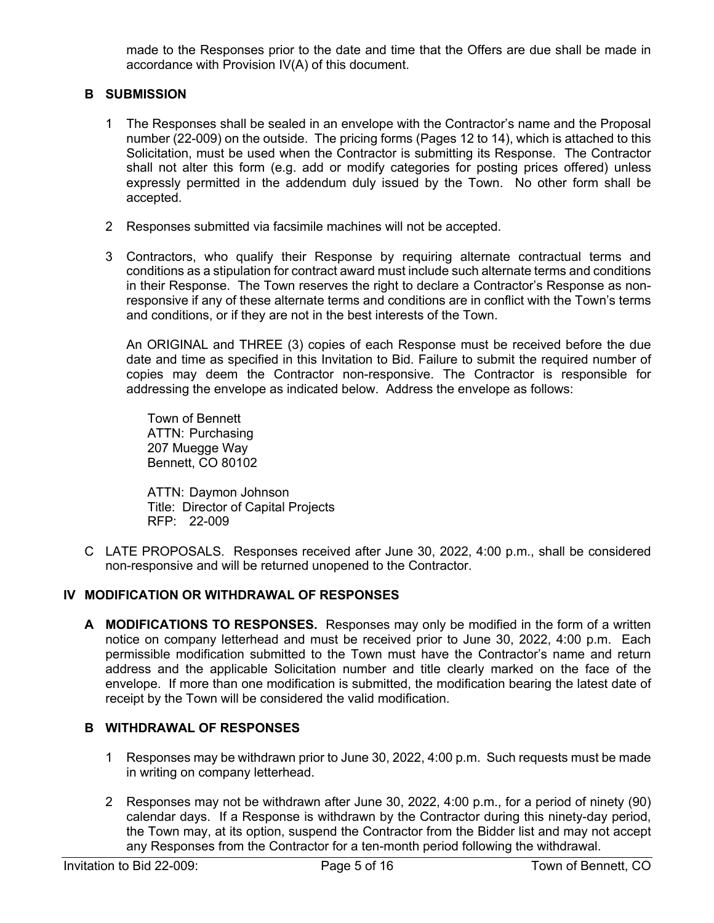made to the Responses prior to the date and time that the Offers are due shall be made in accordance with Provision IV(A) of this document.

## **B SUBMISSION**

- 1 The Responses shall be sealed in an envelope with the Contractor's name and the Proposal number (22-009) on the outside. The pricing forms (Pages 12 to 14), which is attached to this Solicitation, must be used when the Contractor is submitting its Response. The Contractor shall not alter this form (e.g. add or modify categories for posting prices offered) unless expressly permitted in the addendum duly issued by the Town. No other form shall be accepted.
- 2 Responses submitted via facsimile machines will not be accepted.
- 3 Contractors, who qualify their Response by requiring alternate contractual terms and conditions as a stipulation for contract award must include such alternate terms and conditions in their Response. The Town reserves the right to declare a Contractor's Response as nonresponsive if any of these alternate terms and conditions are in conflict with the Town's terms and conditions, or if they are not in the best interests of the Town.

An ORIGINAL and THREE (3) copies of each Response must be received before the due date and time as specified in this Invitation to Bid. Failure to submit the required number of copies may deem the Contractor non-responsive. The Contractor is responsible for addressing the envelope as indicated below. Address the envelope as follows:

Town of Bennett ATTN: Purchasing 207 Muegge Way Bennett, CO 80102

ATTN: Daymon Johnson Title: Director of Capital Projects RFP: 22-009

C LATE PROPOSALS. Responses received after June 30, 2022, 4:00 p.m., shall be considered non-responsive and will be returned unopened to the Contractor.

#### **IV MODIFICATION OR WITHDRAWAL OF RESPONSES**

**A MODIFICATIONS TO RESPONSES.** Responses may only be modified in the form of a written notice on company letterhead and must be received prior to June 30, 2022, 4:00 p.m. Each permissible modification submitted to the Town must have the Contractor's name and return address and the applicable Solicitation number and title clearly marked on the face of the envelope. If more than one modification is submitted, the modification bearing the latest date of receipt by the Town will be considered the valid modification.

#### **B WITHDRAWAL OF RESPONSES**

- 1 Responses may be withdrawn prior to June 30, 2022, 4:00 p.m. Such requests must be made in writing on company letterhead.
- 2 Responses may not be withdrawn after June 30, 2022, 4:00 p.m., for a period of ninety (90) calendar days. If a Response is withdrawn by the Contractor during this ninety-day period, the Town may, at its option, suspend the Contractor from the Bidder list and may not accept any Responses from the Contractor for a ten-month period following the withdrawal.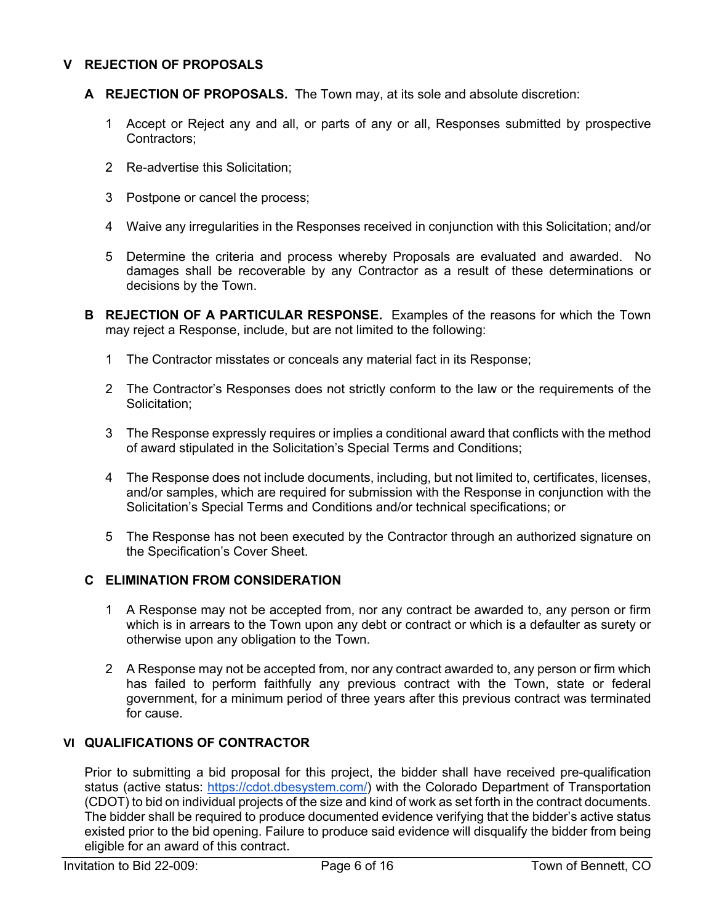## **V REJECTION OF PROPOSALS**

- **A REJECTION OF PROPOSALS.** The Town may, at its sole and absolute discretion:
	- 1 Accept or Reject any and all, or parts of any or all, Responses submitted by prospective Contractors;
	- 2 Re-advertise this Solicitation;
	- 3 Postpone or cancel the process;
	- 4 Waive any irregularities in the Responses received in conjunction with this Solicitation; and/or
	- 5 Determine the criteria and process whereby Proposals are evaluated and awarded. No damages shall be recoverable by any Contractor as a result of these determinations or decisions by the Town.
- **B REJECTION OF A PARTICULAR RESPONSE.** Examples of the reasons for which the Town may reject a Response, include, but are not limited to the following:
	- 1 The Contractor misstates or conceals any material fact in its Response;
	- 2 The Contractor's Responses does not strictly conform to the law or the requirements of the Solicitation;
	- 3 The Response expressly requires or implies a conditional award that conflicts with the method of award stipulated in the Solicitation's Special Terms and Conditions;
	- 4 The Response does not include documents, including, but not limited to, certificates, licenses, and/or samples, which are required for submission with the Response in conjunction with the Solicitation's Special Terms and Conditions and/or technical specifications; or
	- 5 The Response has not been executed by the Contractor through an authorized signature on the Specification's Cover Sheet.

## **C ELIMINATION FROM CONSIDERATION**

- 1 A Response may not be accepted from, nor any contract be awarded to, any person or firm which is in arrears to the Town upon any debt or contract or which is a defaulter as surety or otherwise upon any obligation to the Town.
- 2 A Response may not be accepted from, nor any contract awarded to, any person or firm which has failed to perform faithfully any previous contract with the Town, state or federal government, for a minimum period of three years after this previous contract was terminated for cause.

#### **VI QUALIFICATIONS OF CONTRACTOR**

Prior to submitting a bid proposal for this project, the bidder shall have received pre-qualification status (active status: https://cdot.dbesystem.com/) with the Colorado Department of Transportation (CDOT) to bid on individual projects of the size and kind of work as set forth in the contract documents. The bidder shall be required to produce documented evidence verifying that the bidder's active status existed prior to the bid opening. Failure to produce said evidence will disqualify the bidder from being eligible for an award of this contract.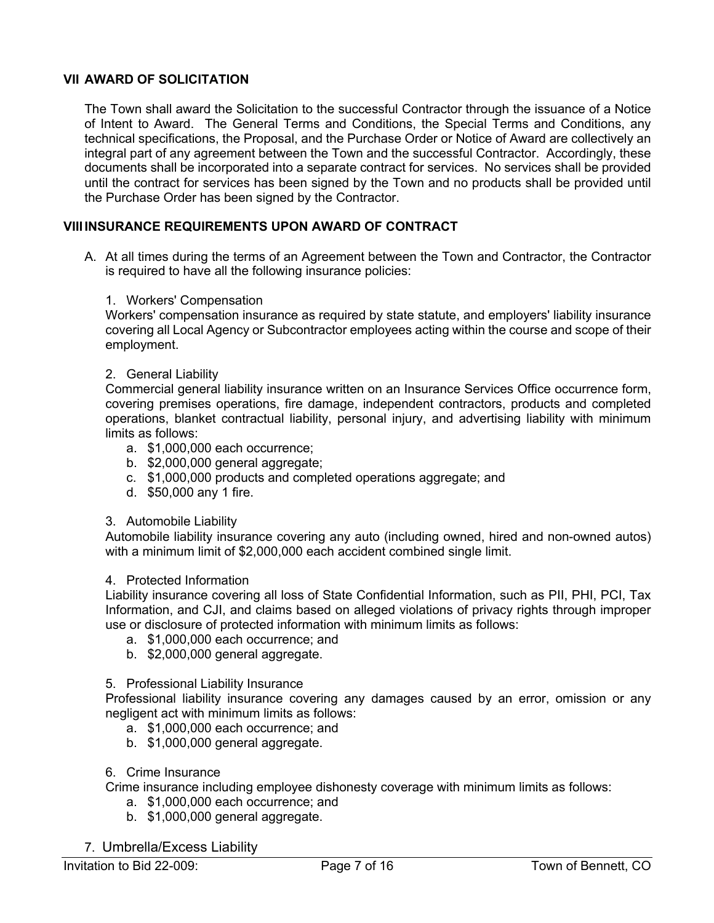## **VII AWARD OF SOLICITATION**

The Town shall award the Solicitation to the successful Contractor through the issuance of a Notice of Intent to Award. The General Terms and Conditions, the Special Terms and Conditions, any technical specifications, the Proposal, and the Purchase Order or Notice of Award are collectively an integral part of any agreement between the Town and the successful Contractor. Accordingly, these documents shall be incorporated into a separate contract for services. No services shall be provided until the contract for services has been signed by the Town and no products shall be provided until the Purchase Order has been signed by the Contractor.

## **VIIIINSURANCE REQUIREMENTS UPON AWARD OF CONTRACT**

A. At all times during the terms of an Agreement between the Town and Contractor, the Contractor is required to have all the following insurance policies:

#### 1. Workers' Compensation

Workers' compensation insurance as required by state statute, and employers' liability insurance covering all Local Agency or Subcontractor employees acting within the course and scope of their employment.

#### 2. General Liability

Commercial general liability insurance written on an Insurance Services Office occurrence form, covering premises operations, fire damage, independent contractors, products and completed operations, blanket contractual liability, personal injury, and advertising liability with minimum limits as follows:

- a. \$1,000,000 each occurrence;
- b. \$2,000,000 general aggregate;
- c. \$1,000,000 products and completed operations aggregate; and
- d. \$50,000 any 1 fire.

#### 3. Automobile Liability

Automobile liability insurance covering any auto (including owned, hired and non-owned autos) with a minimum limit of \$2,000,000 each accident combined single limit.

#### 4. Protected Information

Liability insurance covering all loss of State Confidential Information, such as PII, PHI, PCI, Tax Information, and CJI, and claims based on alleged violations of privacy rights through improper use or disclosure of protected information with minimum limits as follows:

- a. \$1,000,000 each occurrence; and
- b. \$2,000,000 general aggregate.

#### 5. Professional Liability Insurance

Professional liability insurance covering any damages caused by an error, omission or any negligent act with minimum limits as follows:

- a. \$1,000,000 each occurrence; and
- b. \$1,000,000 general aggregate.

#### 6. Crime Insurance

Crime insurance including employee dishonesty coverage with minimum limits as follows:

- a. \$1,000,000 each occurrence; and
- b. \$1,000,000 general aggregate.
- 7. Umbrella/Excess Liability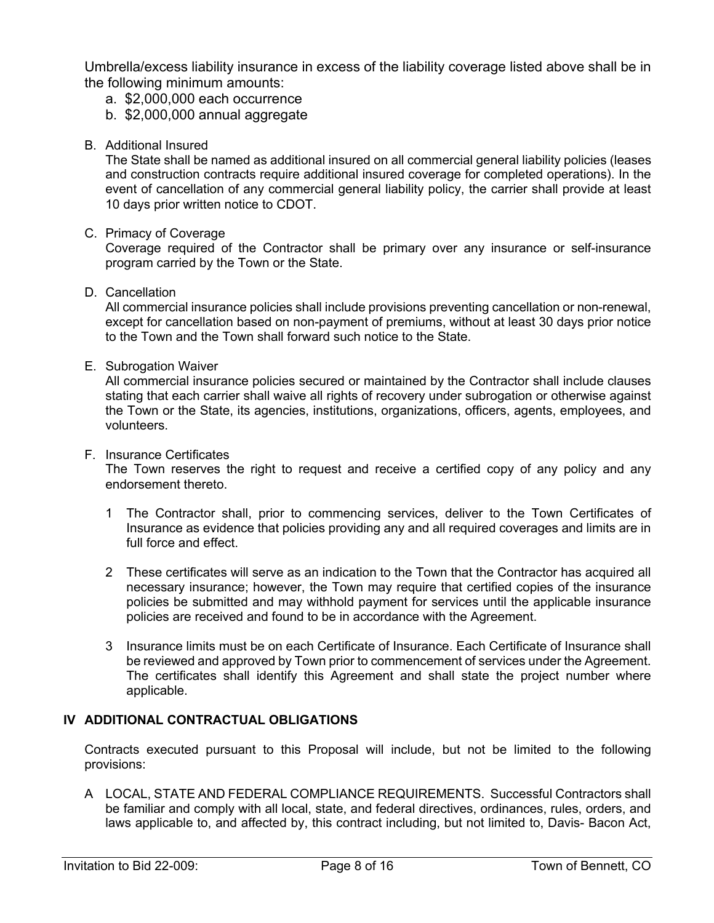Umbrella/excess liability insurance in excess of the liability coverage listed above shall be in the following minimum amounts:

- a. \$2,000,000 each occurrence
- b. \$2,000,000 annual aggregate
- B. Additional Insured

The State shall be named as additional insured on all commercial general liability policies (leases and construction contracts require additional insured coverage for completed operations). In the event of cancellation of any commercial general liability policy, the carrier shall provide at least 10 days prior written notice to CDOT.

C. Primacy of Coverage

Coverage required of the Contractor shall be primary over any insurance or self-insurance program carried by the Town or the State.

D. Cancellation

All commercial insurance policies shall include provisions preventing cancellation or non-renewal, except for cancellation based on non-payment of premiums, without at least 30 days prior notice to the Town and the Town shall forward such notice to the State.

E. Subrogation Waiver

All commercial insurance policies secured or maintained by the Contractor shall include clauses stating that each carrier shall waive all rights of recovery under subrogation or otherwise against the Town or the State, its agencies, institutions, organizations, officers, agents, employees, and volunteers.

#### F. Insurance Certificates

The Town reserves the right to request and receive a certified copy of any policy and any endorsement thereto.

- 1 The Contractor shall, prior to commencing services, deliver to the Town Certificates of Insurance as evidence that policies providing any and all required coverages and limits are in full force and effect.
- 2 These certificates will serve as an indication to the Town that the Contractor has acquired all necessary insurance; however, the Town may require that certified copies of the insurance policies be submitted and may withhold payment for services until the applicable insurance policies are received and found to be in accordance with the Agreement.
- 3 Insurance limits must be on each Certificate of Insurance. Each Certificate of Insurance shall be reviewed and approved by Town prior to commencement of services under the Agreement. The certificates shall identify this Agreement and shall state the project number where applicable.

## **IV ADDITIONAL CONTRACTUAL OBLIGATIONS**

Contracts executed pursuant to this Proposal will include, but not be limited to the following provisions:

A LOCAL, STATE AND FEDERAL COMPLIANCE REQUIREMENTS. Successful Contractors shall be familiar and comply with all local, state, and federal directives, ordinances, rules, orders, and laws applicable to, and affected by, this contract including, but not limited to, Davis- Bacon Act,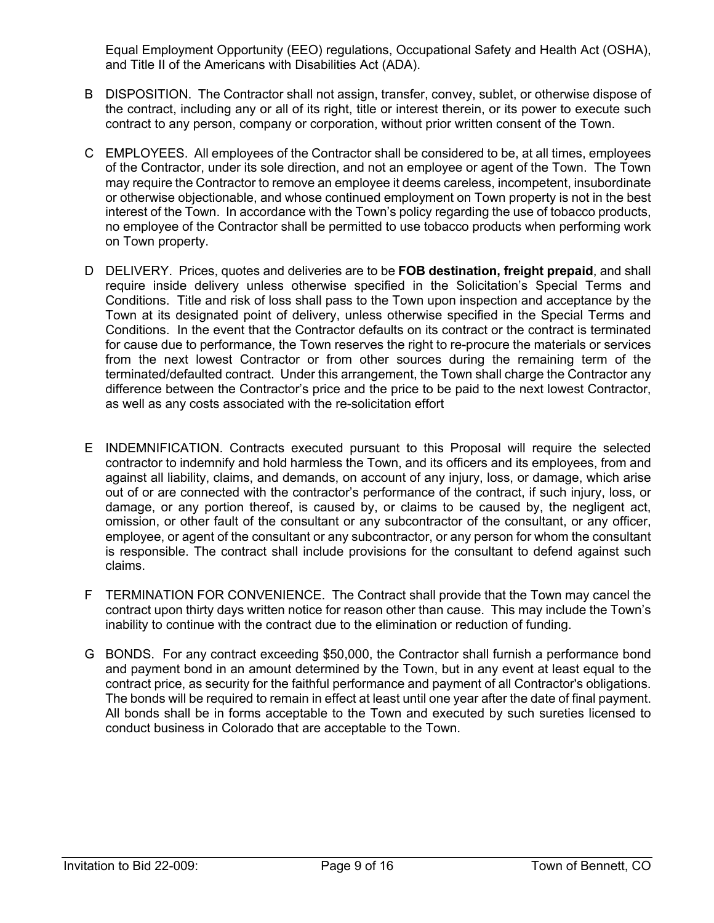Equal Employment Opportunity (EEO) regulations, Occupational Safety and Health Act (OSHA), and Title II of the Americans with Disabilities Act (ADA).

- B DISPOSITION. The Contractor shall not assign, transfer, convey, sublet, or otherwise dispose of the contract, including any or all of its right, title or interest therein, or its power to execute such contract to any person, company or corporation, without prior written consent of the Town.
- C EMPLOYEES. All employees of the Contractor shall be considered to be, at all times, employees of the Contractor, under its sole direction, and not an employee or agent of the Town. The Town may require the Contractor to remove an employee it deems careless, incompetent, insubordinate or otherwise objectionable, and whose continued employment on Town property is not in the best interest of the Town. In accordance with the Town's policy regarding the use of tobacco products, no employee of the Contractor shall be permitted to use tobacco products when performing work on Town property.
- D DELIVERY. Prices, quotes and deliveries are to be **FOB destination, freight prepaid**, and shall require inside delivery unless otherwise specified in the Solicitation's Special Terms and Conditions. Title and risk of loss shall pass to the Town upon inspection and acceptance by the Town at its designated point of delivery, unless otherwise specified in the Special Terms and Conditions. In the event that the Contractor defaults on its contract or the contract is terminated for cause due to performance, the Town reserves the right to re-procure the materials or services from the next lowest Contractor or from other sources during the remaining term of the terminated/defaulted contract. Under this arrangement, the Town shall charge the Contractor any difference between the Contractor's price and the price to be paid to the next lowest Contractor, as well as any costs associated with the re-solicitation effort
- E INDEMNIFICATION. Contracts executed pursuant to this Proposal will require the selected contractor to indemnify and hold harmless the Town, and its officers and its employees, from and against all liability, claims, and demands, on account of any injury, loss, or damage, which arise out of or are connected with the contractor's performance of the contract, if such injury, loss, or damage, or any portion thereof, is caused by, or claims to be caused by, the negligent act, omission, or other fault of the consultant or any subcontractor of the consultant, or any officer, employee, or agent of the consultant or any subcontractor, or any person for whom the consultant is responsible. The contract shall include provisions for the consultant to defend against such claims.
- F TERMINATION FOR CONVENIENCE. The Contract shall provide that the Town may cancel the contract upon thirty days written notice for reason other than cause. This may include the Town's inability to continue with the contract due to the elimination or reduction of funding.
- G BONDS. For any contract exceeding \$50,000, the Contractor shall furnish a performance bond and payment bond in an amount determined by the Town, but in any event at least equal to the contract price, as security for the faithful performance and payment of all Contractor's obligations. The bonds will be required to remain in effect at least until one year after the date of final payment. All bonds shall be in forms acceptable to the Town and executed by such sureties licensed to conduct business in Colorado that are acceptable to the Town.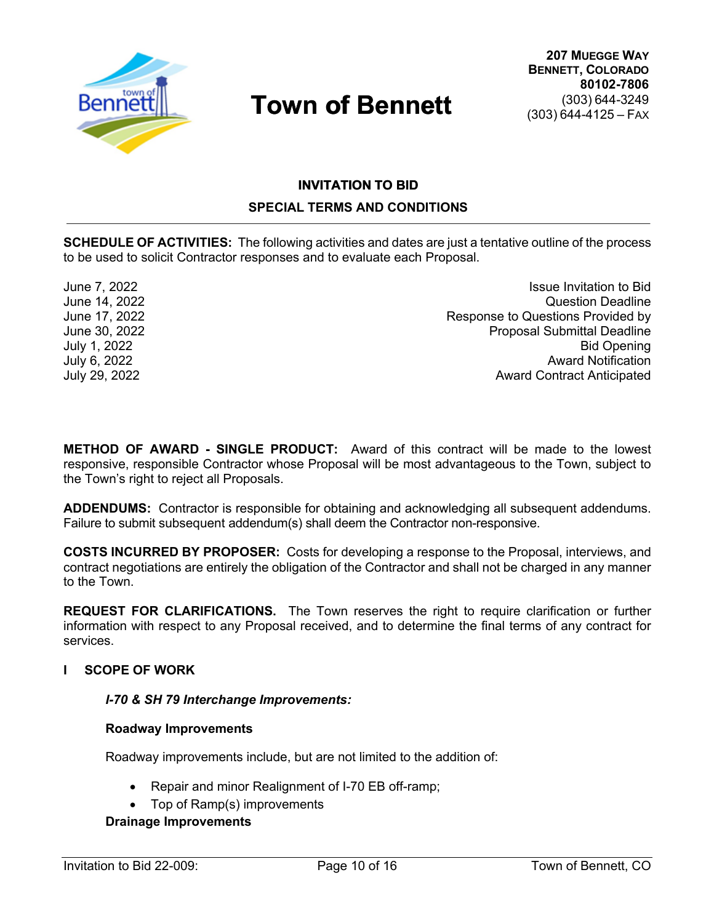

# **INVITATION TO BID TO SPECIAL TERMS AND CONDITIONS**

**SCHEDULE OF ACTIVITIES:** The following activities and dates are just a tentative outline of the process to be used to solicit Contractor responses and to evaluate each Proposal.

June 7, 2022<br>June 14, 2022<br>June 14, 2022 Question Deadline June 17, 2022 Response to Questions Provided by June 30, 2022<br>July 1, 2022 **Proposal Submittal Deadline Bid Opening** July 6, 2022 Award Notification July 29, 2022 Award Contract Anticipated

**METHOD OF AWARD - SINGLE PRODUCT:** Award of this contract will be made to the lowest responsive, responsible Contractor whose Proposal will be most advantageous to the Town, subject to the Town's right to reject all Proposals.

**ADDENDUMS:** Contractor is responsible for obtaining and acknowledging all subsequent addendums. Failure to submit subsequent addendum(s) shall deem the Contractor non-responsive.

**COSTS INCURRED BY PROPOSER:** Costs for developing a response to the Proposal, interviews, and contract negotiations are entirely the obligation of the Contractor and shall not be charged in any manner to the Town.

**REQUEST FOR CLARIFICATIONS.** The Town reserves the right to require clarification or further information with respect to any Proposal received, and to determine the final terms of any contract for services.

#### **I SCOPE OF WORK**

#### *I-70 & SH 79 Interchange Improvements:*

#### **Roadway Improvements**

Roadway improvements include, but are not limited to the addition of:

- Repair and minor Realignment of I-70 EB off-ramp;
- Top of Ramp(s) improvements

#### **Drainage Improvements**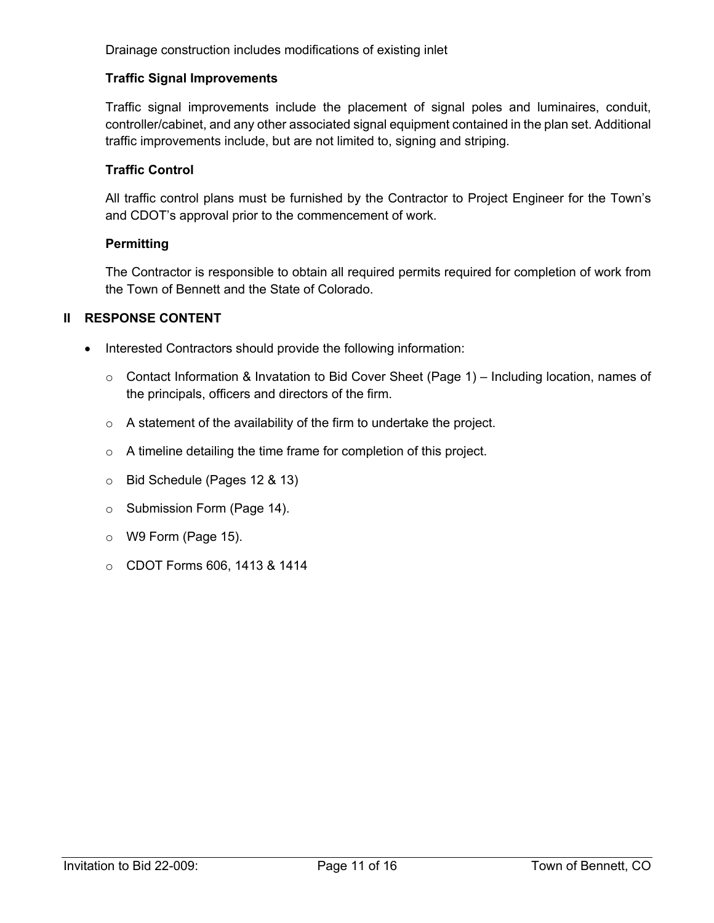Drainage construction includes modifications of existing inlet

#### **Traffic Signal Improvements**

Traffic signal improvements include the placement of signal poles and luminaires, conduit, controller/cabinet, and any other associated signal equipment contained in the plan set. Additional traffic improvements include, but are not limited to, signing and striping.

#### **Traffic Control**

All traffic control plans must be furnished by the Contractor to Project Engineer for the Town's and CDOT's approval prior to the commencement of work.

#### **Permitting**

The Contractor is responsible to obtain all required permits required for completion of work from the Town of Bennett and the State of Colorado.

#### **II RESPONSE CONTENT**

- Interested Contractors should provide the following information:
	- o Contact Information & Invatation to Bid Cover Sheet (Page 1) Including location, names of the principals, officers and directors of the firm.
	- o A statement of the availability of the firm to undertake the project.
	- o A timeline detailing the time frame for completion of this project.
	- o Bid Schedule (Pages 12 & 13)
	- o Submission Form (Page 14).
	- o W9 Form (Page 15).
	- o CDOT Forms 606, 1413 & 1414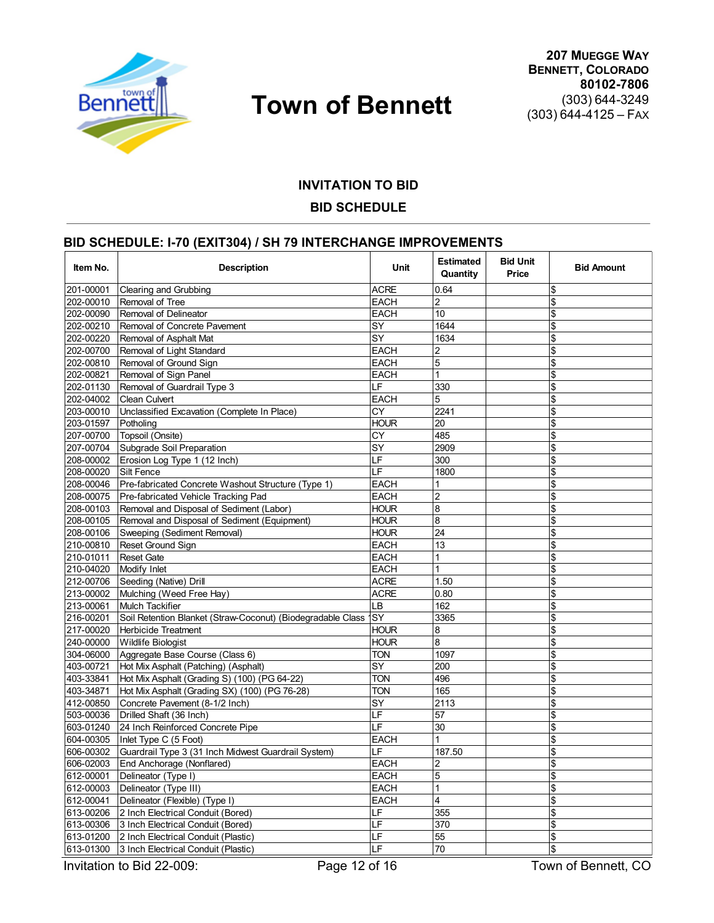

# **INVITATION TO BID BID SCHEDULE**

## **BID SCHEDULE: I-70 (EXIT304) / SH 79 INTERCHANGE IMPROVEMENTS**

| Item No.  | <b>Description</b>                                            | Unit        | <b>Estimated</b><br><b>Bid Unit</b><br>Quantity<br>Price |  | <b>Bid Amount</b>         |  |
|-----------|---------------------------------------------------------------|-------------|----------------------------------------------------------|--|---------------------------|--|
| 201-00001 | Clearing and Grubbing                                         | <b>ACRE</b> | 0.64                                                     |  | <b>S</b>                  |  |
| 202-00010 | Removal of Tree                                               | EACH        | $\overline{2}$                                           |  | $\frac{1}{2}$             |  |
| 202-00090 | Removal of Delineator                                         | EACH        | 10                                                       |  | $\frac{1}{2}$             |  |
| 202-00210 | Removal of Concrete Pavement                                  | SY          | 1644                                                     |  | $\frac{2}{3}$             |  |
| 202-00220 | Removal of Asphalt Mat                                        | SY          | 1634                                                     |  | $\frac{1}{2}$             |  |
| 202-00700 | Removal of Light Standard                                     | EACH        | $\overline{\mathbf{c}}$                                  |  | $\overline{\mathcal{S}}$  |  |
| 202-00810 | Removal of Ground Sign                                        | EACH        | $\overline{5}$                                           |  | $\overline{\mathcal{S}}$  |  |
| 202-00821 | Removal of Sign Panel                                         | EACH        | 1                                                        |  | $\frac{1}{2}$             |  |
| 202-01130 | Removal of Guardrail Type 3                                   | I F         | 330                                                      |  | \$                        |  |
| 202-04002 | Clean Culvert                                                 | EACH        | 5                                                        |  | $\boldsymbol{\mathsf{S}}$ |  |
| 203-00010 | Unclassified Excavation (Complete In Place)                   | СY          | 2241                                                     |  | \$                        |  |
| 203-01597 | Potholing                                                     | <b>HOUR</b> | 20                                                       |  | $\overline{\mathcal{S}}$  |  |
| 207-00700 | Topsoil (Onsite)                                              | CY          | 485                                                      |  | $\overline{\mathcal{S}}$  |  |
| 207-00704 | Subgrade Soil Preparation                                     | SY          | 2909                                                     |  | $\frac{1}{2}$             |  |
| 208-00002 | Erosion Log Type 1 (12 Inch)                                  | LF          | 300                                                      |  | $\frac{1}{2}$             |  |
| 208-00020 | Silt Fence                                                    | LF          | 1800                                                     |  | $\boldsymbol{\mathsf{S}}$ |  |
| 208-00046 | Pre-fabricated Concrete Washout Structure (Type 1)            | <b>EACH</b> | 1                                                        |  | \$                        |  |
| 208-00075 | Pre-fabricated Vehicle Tracking Pad                           | EACH        | $\overline{c}$                                           |  | $\frac{1}{2}$             |  |
| 208-00103 | Removal and Disposal of Sediment (Labor)                      | <b>HOUR</b> | 8                                                        |  | $\mathbf{\$\}$            |  |
| 208-00105 | Removal and Disposal of Sediment (Equipment)                  | HOUR        | 8                                                        |  | $\frac{1}{2}$             |  |
| 208-00106 | Sweeping (Sediment Removal)                                   | <b>HOUR</b> | 24                                                       |  | $\frac{1}{2}$             |  |
| 210-00810 | Reset Ground Sign                                             | EACH        | 13                                                       |  | $\boldsymbol{\mathsf{S}}$ |  |
| 210-01011 | <b>Reset Gate</b>                                             | EACH        | $\mathbf{1}$                                             |  | \$                        |  |
| 210-04020 | Modify Inlet                                                  | EACH        | $\mathbf{1}$                                             |  | $\frac{1}{2}$             |  |
| 212-00706 | Seeding (Native) Drill                                        | <b>ACRE</b> | 1.50                                                     |  | $\frac{1}{2}$             |  |
| 213-00002 | Mulching (Weed Free Hay)                                      | <b>ACRE</b> | 0.80                                                     |  | $\frac{1}{2}$             |  |
| 213-00061 | <b>Mulch Tackifier</b>                                        | LB          | 162                                                      |  | $\frac{1}{2}$             |  |
| 216-00201 | Soil Retention Blanket (Straw-Coconut) (Biodegradable Class 1 | SY          | 3365                                                     |  | $\boldsymbol{\mathsf{S}}$ |  |
| 217-00020 | <b>Herbicide Treatment</b>                                    | HOUR        | 8                                                        |  | \$                        |  |
| 240-00000 | <b>Wildlife Biologist</b>                                     | <b>HOUR</b> | 8                                                        |  | $\frac{1}{2}$             |  |
| 304-06000 | Aggregate Base Course (Class 6)                               | TON         | 1097                                                     |  | $\frac{1}{2}$             |  |
| 403-00721 | Hot Mix Asphalt (Patching) (Asphalt)                          | SY          | 200                                                      |  | $\frac{1}{2}$             |  |
| 403-33841 | Hot Mix Asphalt (Grading S) (100) (PG 64-22)                  | <b>TON</b>  | 496                                                      |  | $\frac{1}{2}$             |  |
| 403-34871 | Hot Mix Asphalt (Grading SX) (100) (PG 76-28)                 | <b>TON</b>  | 165                                                      |  | $\boldsymbol{\mathsf{S}}$ |  |
| 412-00850 | Concrete Pavement (8-1/2 Inch)                                | SY          | 2113                                                     |  | \$                        |  |
| 503-00036 | Drilled Shaft (36 Inch)                                       | LF          | 57                                                       |  | $\mathsf{\$}$             |  |
| 603-01240 | 24 Inch Reinforced Concrete Pipe                              | LF          | 30                                                       |  | $\frac{1}{2}$             |  |
| 604-00305 | Inlet Type C (5 Foot)                                         | EACH        | 1                                                        |  | $\frac{1}{2}$             |  |
| 606-00302 | Guardrail Type 3 (31 Inch Midwest Guardrail System)           | LF          | 187.50                                                   |  | $\frac{1}{2}$             |  |
| 606-02003 | End Anchorage (Nonflared)                                     | EACH        | $\overline{2}$                                           |  | $\frac{1}{2}$             |  |
| 612-00001 | Delineator (Type I)                                           | EACH        | 5                                                        |  | $\frac{1}{2}$             |  |
| 612-00003 | Delineator (Type III)                                         | EACH        | $\mathbf{1}$                                             |  | <sup>\$</sup>             |  |
| 612-00041 | Delineator (Flexible) (Type I)                                | <b>EACH</b> | 4                                                        |  | $\overline{\mathcal{S}}$  |  |
| 613-00206 | 2 Inch Electrical Conduit (Bored)                             | LF          | 355                                                      |  | $\frac{1}{2}$             |  |
| 613-00306 | 3 Inch Electrical Conduit (Bored)                             | LF          | 370                                                      |  | $\frac{1}{2}$             |  |
| 613-01200 | LF<br>2 Inch Electrical Conduit (Plastic)                     |             | $\overline{55}$                                          |  | $\frac{1}{2}$             |  |
| 613-01300 | 3 Inch Electrical Conduit (Plastic)                           | LF          | 70                                                       |  | <sup>\$</sup>             |  |

Invitation to Bid 22-009: Page 12 of 16 Town of Bennett, CO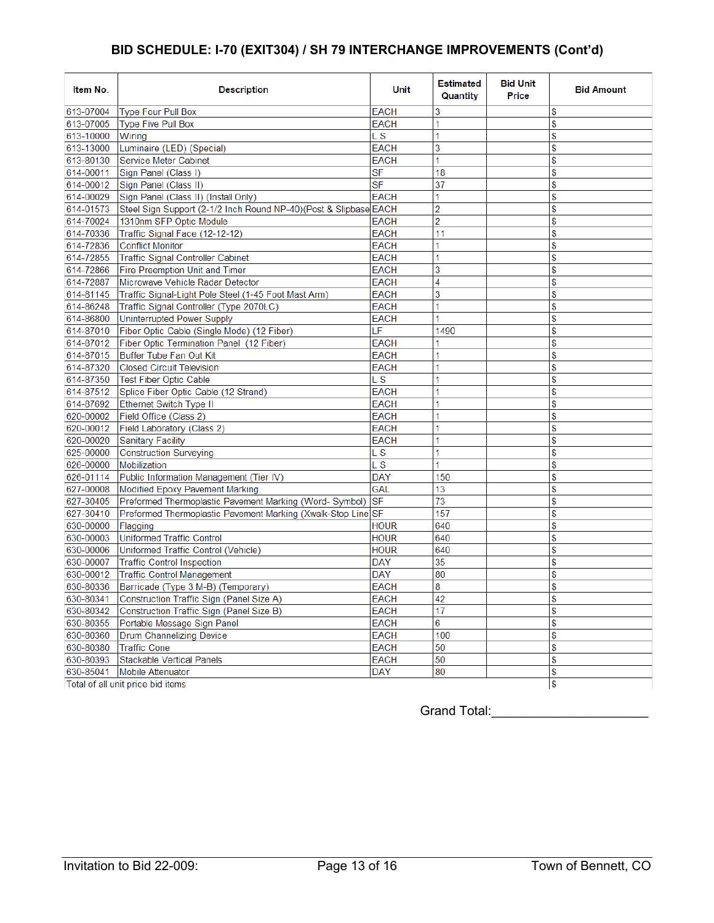# **BID SCHEDULE: I-70 (EXIT304) / SH 79 INTERCHANGE IMPROVEMENTS (Cont'd)**

| Item No.  | Description                                                      | Unit                     | <b>Estimated</b><br>Quantity | <b>Bid Unit</b><br>Price | <b>Bid Amount</b> |
|-----------|------------------------------------------------------------------|--------------------------|------------------------------|--------------------------|-------------------|
| 613-07004 | Type Four Pull Box                                               | <b>EACH</b>              | 3                            |                          | \$                |
| 613-07005 | Type Five Pull Box                                               | <b>EACH</b>              | 1                            |                          | \$                |
| 613-10000 | Wirina                                                           | L S                      | 1                            |                          | \$                |
| 613-13000 | Luminaire (LED) (Special)                                        | EACH                     | 3                            |                          | \$                |
| 613-80130 | Service Meter Cabinet                                            | <b>EACH</b>              | 1                            |                          | \$                |
| 614-00011 | Sign Panel (Class I)                                             | <b>SF</b>                | 18                           |                          | \$                |
| 614-00012 | Sign Panel (Class II)                                            | $\overline{\mathsf{SF}}$ | 37                           |                          | \$                |
| 614-00029 | Sign Panel (Class II) (Install Only)                             | EACH                     | 1                            |                          | \$                |
| 614-01573 | Steel Sign Support (2-1/2 Inch Round NP-40)(Post & Slipbase EACH |                          | 2                            |                          | \$                |
| 614-70024 | 1310nm SFP Optic Module                                          | EACH                     | 2                            |                          | \$                |
| 614-70336 | Traffic Signal Face (12-12-12)                                   | <b>EACH</b>              | 11                           |                          | \$                |
| 614-72836 | <b>Conflict Monitor</b>                                          | EACH                     | 1                            |                          | \$                |
| 614-72855 | Traffic Signal Controller Cabinet                                | <b>EACH</b>              | 1                            |                          | \$                |
| 614-72866 | Fire Preemption Unit and Timer                                   | <b>EACH</b>              | 3                            |                          | \$                |
| 614-72887 | Microwave Vehicle Radar Detector                                 | EACH                     | 4                            |                          | \$                |
| 614-81145 | Traffic Signal-Light Pole Steel (1-45 Foot Mast Arm)             | EACH                     | 3                            |                          | \$                |
| 614-86248 | Traffic Signal Controller (Type 2070LC)                          | EACH                     | 1                            |                          | \$                |
| 614-86800 | Uninterrupted Power Supply                                       | EACH                     | 1                            |                          | \$                |
| 614-87010 | Fiber Optic Cable (Single Mode) (12 Fiber)                       | LF                       | 1490                         |                          | \$                |
| 614-87012 | Fiber Optic Termination Panel (12 Fiber)                         | <b>EACH</b>              |                              |                          | \$                |
| 614-87015 | Buffer Tube Fan Out Kit                                          | EACH                     | 1                            |                          | \$                |
| 614-87320 | <b>Closed Circuit Television</b>                                 | EACH                     | 1                            |                          | \$                |
| 614-87350 | Test Fiber Optic Cable                                           | L S                      | 1                            |                          | \$                |
| 614-87512 | Splice Fiber Optic Cable (12 Strand)                             | <b>EACH</b>              | 1                            |                          | \$                |
| 614-87692 | Ethernet Switch Type II                                          | <b>EACH</b>              | 1                            |                          | \$                |
| 620-00002 | Field Office (Class 2)                                           | EACH                     | 1                            |                          | \$                |
| 620-00012 | Field Laboratory (Class 2)                                       | EACH                     | 1                            |                          | \$                |
| 620-00020 | Sanitary Facility                                                | EACH                     | 1                            |                          | \$                |
| 625-00000 | <b>Construction Surveying</b>                                    | L S                      | 1                            |                          | \$                |
| 626-00000 | Mobilization                                                     | L S                      | 1                            |                          | \$                |
| 626-01114 | Public Information Management (Tier IV)                          | <b>DAY</b>               | 150                          |                          | \$                |
| 627-00008 | Modified Epoxy Pavement Marking                                  | GAL                      | 13                           |                          | \$                |
| 627-30405 | Preformed Thermoplastic Pavement Marking (Word- Symbol)          | SF                       | 73                           |                          | \$                |
| 627-30410 | Preformed Thermoplastic Pavement Marking (Xwalk-Stop Line SF     |                          | 157                          |                          | \$                |
| 630-00000 | Flagging                                                         | <b>HOUR</b>              | 640                          |                          | \$                |
| 630-00003 | Uniformed Traffic Control                                        | <b>HOUR</b>              | 640                          |                          | \$                |
| 630-00006 | Uniformed Traffic Control (Vehicle)                              | <b>HOUR</b>              | 640                          |                          | \$                |
| 630-00007 | Traffic Control Inspection                                       | DAY                      | 35                           |                          | \$                |
| 630-00012 | Traffic Control Management                                       | <b>DAY</b>               | 80                           |                          | \$                |
| 630-80336 | Barricade (Type 3 M-B) (Temporary)                               | EACH                     | 8                            |                          | \$                |
| 630-80341 | Construction Traffic Sign (Panel Size A)                         | EACH                     | 42                           |                          | \$                |
| 630-80342 | Construction Traffic Sign (Panel Size B)                         | EACH                     | 17                           |                          | $\frac{1}{2}$     |
| 630-80355 | Portable Message Sign Panel                                      | EACH                     | 6                            |                          | \$                |
| 630-80360 | Drum Channelizing Device                                         | EACH                     | 100                          |                          | \$                |
| 630-80380 | Traffic Cone                                                     | EACH                     | 50                           |                          | \$                |
| 630-80393 | Stackable Vertical Panels                                        | EACH                     | 50                           |                          | \$                |
| 630-85041 | Mobile Attenuator                                                | DAY                      | 80                           |                          | $\frac{1}{2}$     |
|           | Total of all unit price bid items                                |                          |                              |                          | $\frac{1}{2}$     |

Grand Total:\_\_\_\_\_\_\_\_\_\_\_\_\_\_\_\_\_\_\_\_\_\_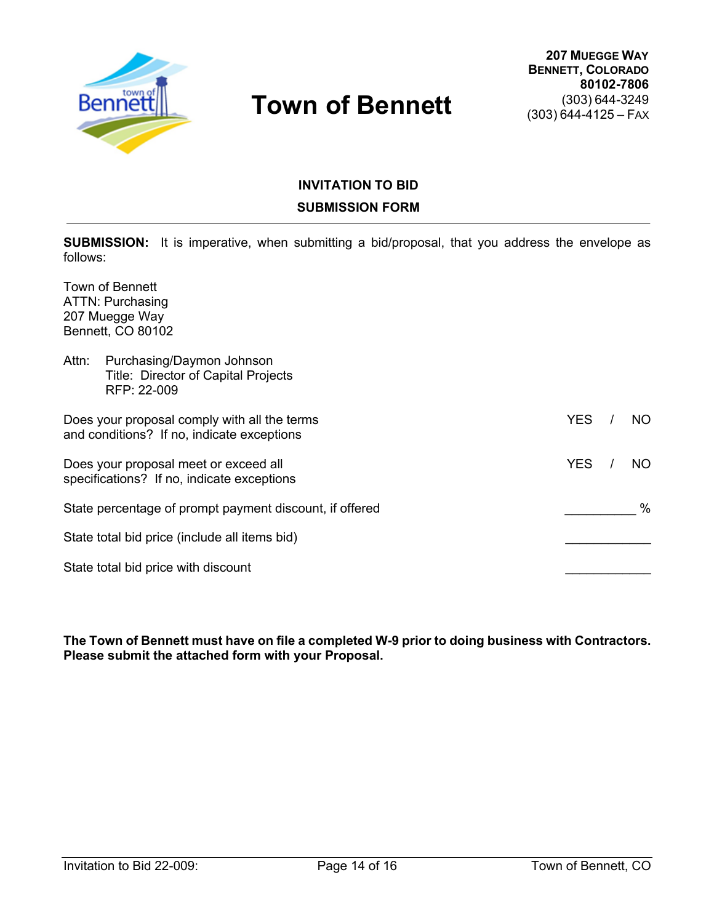

# **INVITATION TO BID SUBMISSION FORM**

**SUBMISSION:** It is imperative, when submitting a bid/proposal, that you address the envelope as follows:

Town of Bennett ATTN: Purchasing 207 Muegge Way Bennett, CO 80102

| Attn: | Purchasing/Daymon Johnson<br>Title: Director of Capital Projects<br>RFP: 22-009            |            |      |
|-------|--------------------------------------------------------------------------------------------|------------|------|
|       | Does your proposal comply with all the terms<br>and conditions? If no, indicate exceptions | <b>YES</b> | NO.  |
|       | Does your proposal meet or exceed all<br>specifications? If no, indicate exceptions        | <b>YES</b> | NO.  |
|       | State percentage of prompt payment discount, if offered                                    |            | $\%$ |
|       | State total bid price (include all items bid)                                              |            |      |
|       | State total bid price with discount                                                        |            |      |

**The Town of Bennett must have on file a completed W-9 prior to doing business with Contractors. Please submit the attached form with your Proposal.**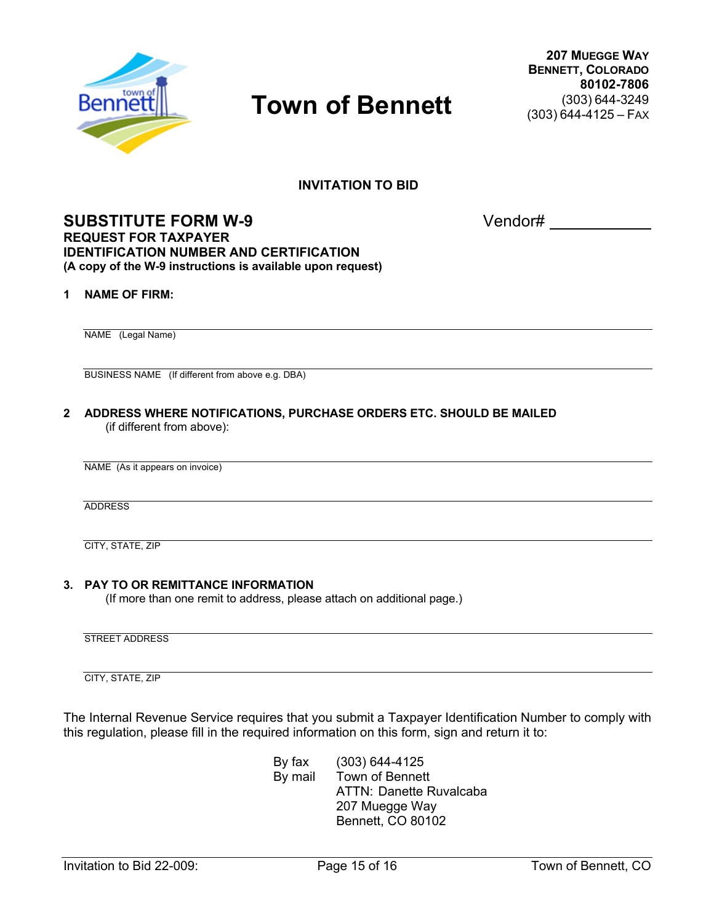

**207 MUEGGE WAY BENNETT, COLORADO 80102-7806** (303) 644-3249 (303) 644-4125 – FAX

**INVITATION TO BID**

### **SUBSTITUTE FORM W-9** Vendor# **REQUEST FOR TAXPAYER IDENTIFICATION NUMBER AND CERTIFICATION (A copy of the W-9 instructions is available upon request)**

#### **1 NAME OF FIRM:**

NAME (Legal Name)

BUSINESS NAME (If different from above e.g. DBA)

**2 ADDRESS WHERE NOTIFICATIONS, PURCHASE ORDERS ETC. SHOULD BE MAILED** (if different from above):

ADDRESS

CITY, STATE, ZIP

#### **3. PAY TO OR REMITTANCE INFORMATION**

(If more than one remit to address, please attach on additional page.)

STREET ADDRESS

CITY, STATE, ZIP

The Internal Revenue Service requires that you submit a Taxpayer Identification Number to comply with this regulation, please fill in the required information on this form, sign and return it to:

> By fax (303) 644-4125 By mail Town of Bennett ATTN: Danette Ruvalcaba 207 Muegge Way Bennett, CO 80102